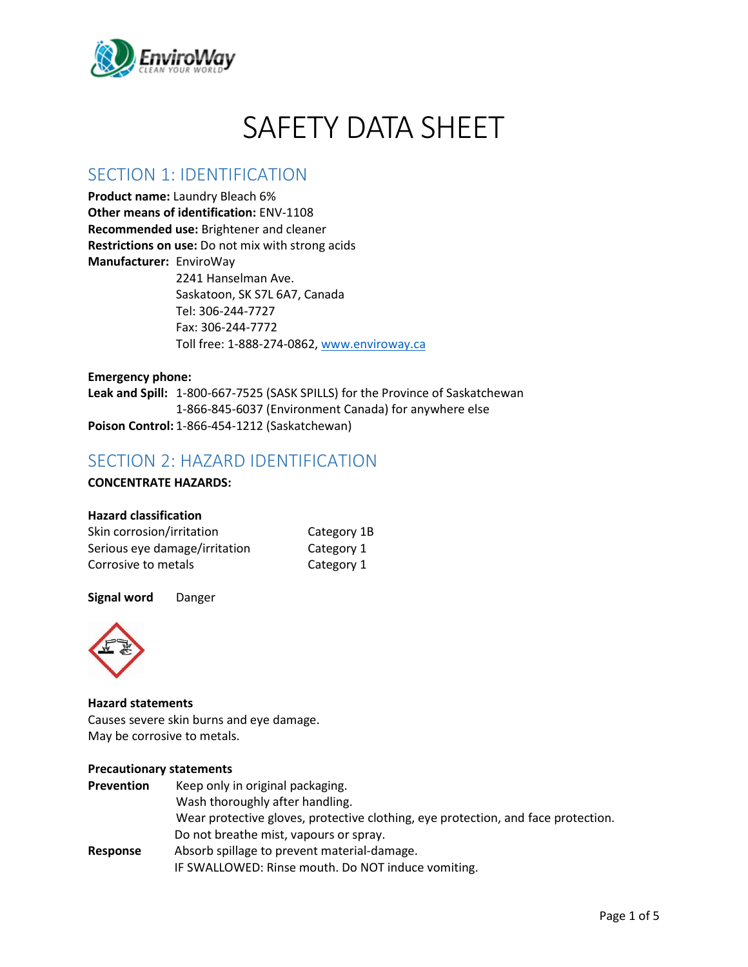

# SAFETY DATA SHEET

### SECTION 1: IDENTIFICATION

**Product name:** Laundry Bleach 6% **Other means of identification:** ENV-1108 **Recommended use:** Brightener and cleaner **Restrictions on use:** Do not mix with strong acids **Manufacturer:** EnviroWay 2241 Hanselman Ave. Saskatoon, SK S7L 6A7, Canada

Tel: 306-244-7727 Fax: 306-244-7772 Toll free: 1-888-274-0862, [www.enviroway.ca](http://www.enviroway.ca/)

#### **Emergency phone:**

**Leak and Spill:** 1-800-667-7525 (SASK SPILLS) for the Province of Saskatchewan 1-866-845-6037 (Environment Canada) for anywhere else **Poison Control:** 1-866-454-1212 (Saskatchewan)

### SECTION 2: HAZARD IDENTIFICATION

**CONCENTRATE HAZARDS:**

#### **Hazard classification**

| Skin corrosion/irritation     | Category 1B |
|-------------------------------|-------------|
| Serious eye damage/irritation | Category 1  |
| Corrosive to metals           | Category 1  |

#### **Signal word** Danger



#### **Hazard statements**

Causes severe skin burns and eye damage. May be corrosive to metals.

#### **Precautionary statements**

| <b>Prevention</b> | Keep only in original packaging.                                                  |
|-------------------|-----------------------------------------------------------------------------------|
|                   | Wash thoroughly after handling.                                                   |
|                   | Wear protective gloves, protective clothing, eye protection, and face protection. |
|                   | Do not breathe mist, vapours or spray.                                            |
| Response          | Absorb spillage to prevent material-damage.                                       |
|                   | IF SWALLOWED: Rinse mouth. Do NOT induce vomiting.                                |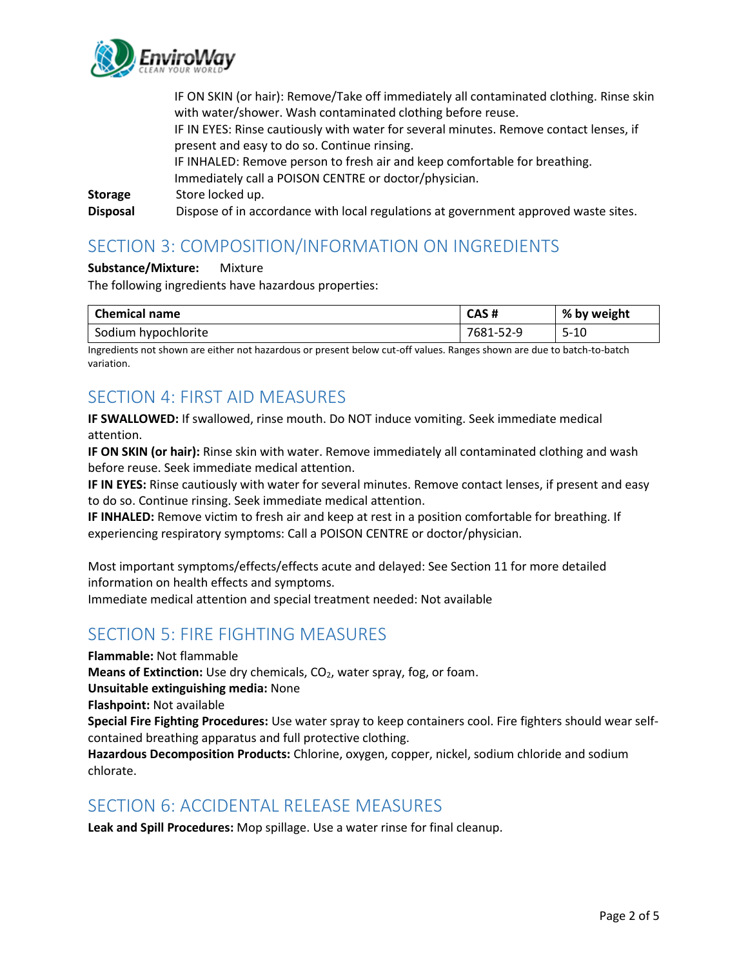

IF ON SKIN (or hair): Remove/Take off immediately all contaminated clothing. Rinse skin with water/shower. Wash contaminated clothing before reuse. IF IN EYES: Rinse cautiously with water for several minutes. Remove contact lenses, if present and easy to do so. Continue rinsing. IF INHALED: Remove person to fresh air and keep comfortable for breathing. Immediately call a POISON CENTRE or doctor/physician. **Storage** Store locked up. **Disposal** Dispose of in accordance with local regulations at government approved waste sites.

# SECTION 3: COMPOSITION/INFORMATION ON INGREDIENTS

#### **Substance/Mixture:** Mixture

The following ingredients have hazardous properties:

| <b>Chemical name</b> | CAS#      | % by weight |
|----------------------|-----------|-------------|
| Sodium hypochlorite  | 7681-52-9 | $5 - 10$    |

Ingredients not shown are either not hazardous or present below cut-off values. Ranges shown are due to batch-to-batch variation.

# SECTION 4: FIRST AID MEASURES

**IF SWALLOWED:** If swallowed, rinse mouth. Do NOT induce vomiting. Seek immediate medical attention.

**IF ON SKIN (or hair):** Rinse skin with water. Remove immediately all contaminated clothing and wash before reuse. Seek immediate medical attention.

**IF IN EYES:** Rinse cautiously with water for several minutes. Remove contact lenses, if present and easy to do so. Continue rinsing. Seek immediate medical attention.

**IF INHALED:** Remove victim to fresh air and keep at rest in a position comfortable for breathing. If experiencing respiratory symptoms: Call a POISON CENTRE or doctor/physician.

Most important symptoms/effects/effects acute and delayed: See Section 11 for more detailed information on health effects and symptoms.

Immediate medical attention and special treatment needed: Not available

# SECTION 5: FIRE FIGHTING MEASURES

**Flammable:** Not flammable

**Means of Extinction:** Use dry chemicals, CO<sub>2</sub>, water spray, fog, or foam.

**Unsuitable extinguishing media:** None

**Flashpoint:** Not available

**Special Fire Fighting Procedures:** Use water spray to keep containers cool. Fire fighters should wear selfcontained breathing apparatus and full protective clothing.

**Hazardous Decomposition Products:** Chlorine, oxygen, copper, nickel, sodium chloride and sodium chlorate.

### SECTION 6: ACCIDENTAL RELEASE MEASURES

**Leak and Spill Procedures:** Mop spillage. Use a water rinse for final cleanup.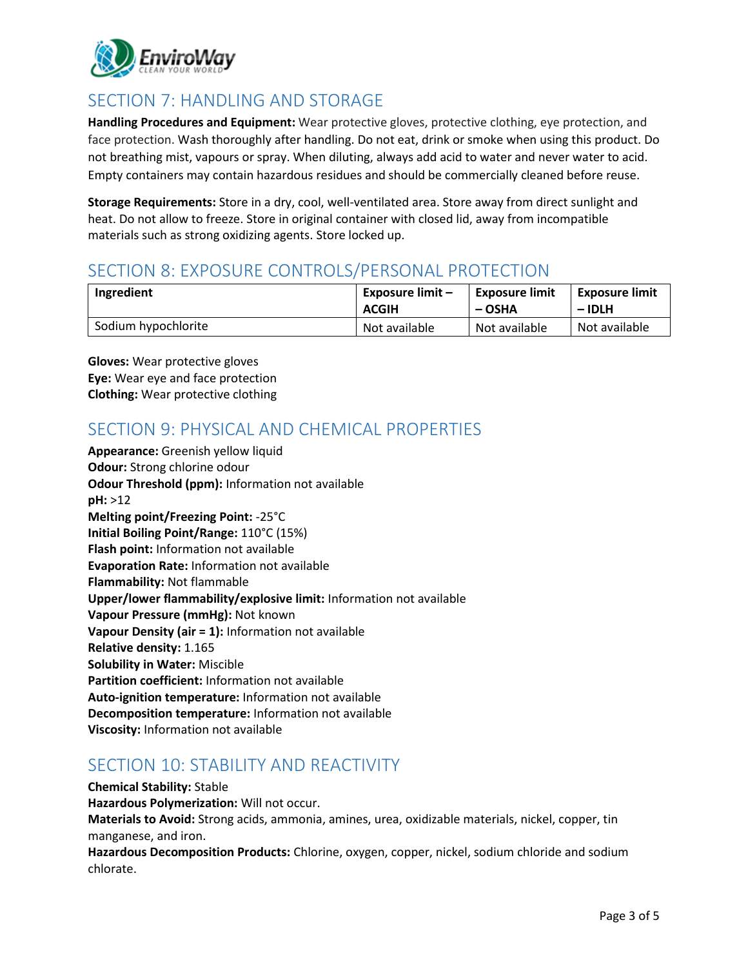

# SECTION 7: HANDLING AND STORAGE

**Handling Procedures and Equipment:** Wear protective gloves, protective clothing, eye protection, and face protection. Wash thoroughly after handling. Do not eat, drink or smoke when using this product. Do not breathing mist, vapours or spray. When diluting, always add acid to water and never water to acid. Empty containers may contain hazardous residues and should be commercially cleaned before reuse.

**Storage Requirements:** Store in a dry, cool, well-ventilated area. Store away from direct sunlight and heat. Do not allow to freeze. Store in original container with closed lid, away from incompatible materials such as strong oxidizing agents. Store locked up.

# SECTION 8: EXPOSURE CONTROLS/PERSONAL PROTECTION

| Ingredient          | Exposure limit $-$ | <b>Exposure limit</b> | <b>Exposure limit</b> |
|---------------------|--------------------|-----------------------|-----------------------|
|                     | <b>ACGIH</b>       | $-$ OSHA              | – IDLH                |
| Sodium hypochlorite | Not available      | Not available         | Not available         |

**Gloves:** Wear protective gloves **Eye:** Wear eye and face protection **Clothing:** Wear protective clothing

### SECTION 9: PHYSICAL AND CHEMICAL PROPERTIES

**Appearance:** Greenish yellow liquid **Odour:** Strong chlorine odour **Odour Threshold (ppm):** Information not available **pH:** >12 **Melting point/Freezing Point:** -25°C **Initial Boiling Point/Range:** 110°C (15%) **Flash point:** Information not available **Evaporation Rate:** Information not available **Flammability:** Not flammable **Upper/lower flammability/explosive limit:** Information not available **Vapour Pressure (mmHg):** Not known **Vapour Density (air = 1):** Information not available **Relative density:** 1.165 **Solubility in Water:** Miscible **Partition coefficient:** Information not available **Auto-ignition temperature:** Information not available **Decomposition temperature:** Information not available **Viscosity:** Information not available

# SECTION 10: STABILITY AND REACTIVITY

chlorate.

**Chemical Stability:** Stable **Hazardous Polymerization:** Will not occur. **Materials to Avoid:** Strong acids, ammonia, amines, urea, oxidizable materials, nickel, copper, tin manganese, and iron. **Hazardous Decomposition Products:** Chlorine, oxygen, copper, nickel, sodium chloride and sodium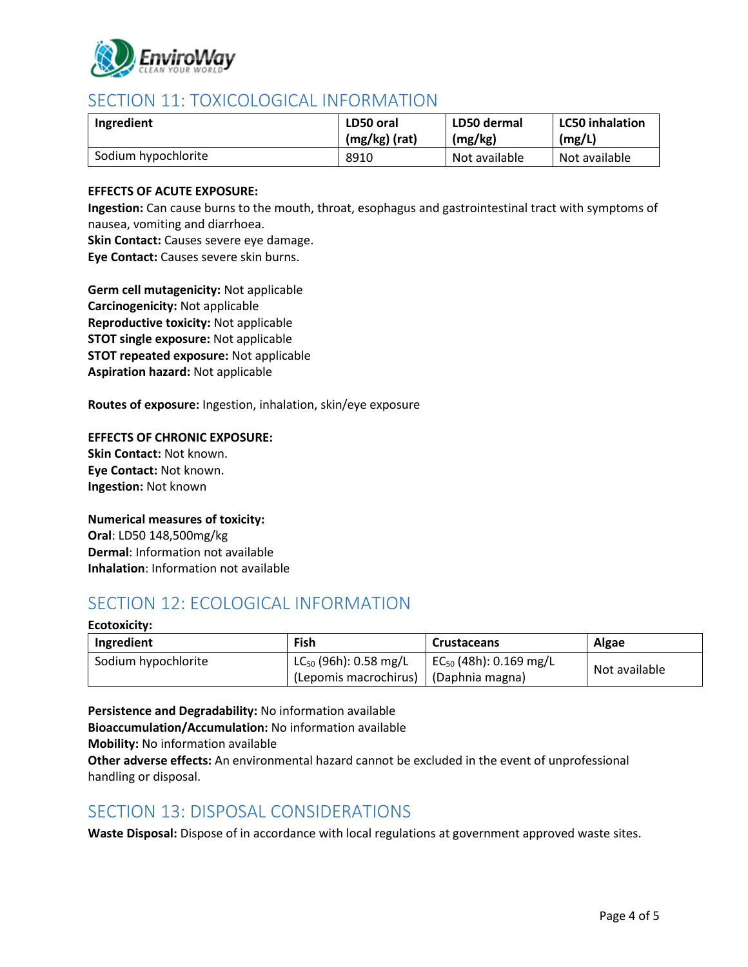

### SECTION 11: TOXICOLOGICAL INFORMATION

| Ingredient          | LD50 oral     | LD50 dermal   | <b>LC50 inhalation</b> |
|---------------------|---------------|---------------|------------------------|
|                     | (mg/kg) (rat) | (mg/kg)       | (mg/L)                 |
| Sodium hypochlorite | 8910          | Not available | Not available          |

#### **EFFECTS OF ACUTE EXPOSURE:**

**Ingestion:** Can cause burns to the mouth, throat, esophagus and gastrointestinal tract with symptoms of nausea, vomiting and diarrhoea.

**Skin Contact:** Causes severe eye damage.

**Eye Contact:** Causes severe skin burns.

**Germ cell mutagenicity:** Not applicable **Carcinogenicity:** Not applicable **Reproductive toxicity:** Not applicable **STOT single exposure:** Not applicable **STOT repeated exposure:** Not applicable **Aspiration hazard:** Not applicable

**Routes of exposure:** Ingestion, inhalation, skin/eye exposure

**EFFECTS OF CHRONIC EXPOSURE: Skin Contact:** Not known. **Eye Contact:** Not known. **Ingestion:** Not known

**Numerical measures of toxicity: Oral**: LD50 148,500mg/kg **Dermal**: Information not available **Inhalation**: Information not available

# SECTION 12: ECOLOGICAL INFORMATION

#### **Ecotoxicity:**

| Ingredient          | Fish                                                                  | <b>Crustaceans</b>                 | Algae         |
|---------------------|-----------------------------------------------------------------------|------------------------------------|---------------|
| Sodium hypochlorite | $LC_{50}$ (96h): 0.58 mg/L<br>(Lepomis macrochirus)   (Daphnia magna) | EC <sub>50</sub> (48h): 0.169 mg/L | Not available |

**Persistence and Degradability:** No information available

**Bioaccumulation/Accumulation:** No information available

**Mobility:** No information available

**Other adverse effects:** An environmental hazard cannot be excluded in the event of unprofessional handling or disposal.

### SECTION 13: DISPOSAL CONSIDERATIONS

**Waste Disposal:** Dispose of in accordance with local regulations at government approved waste sites.